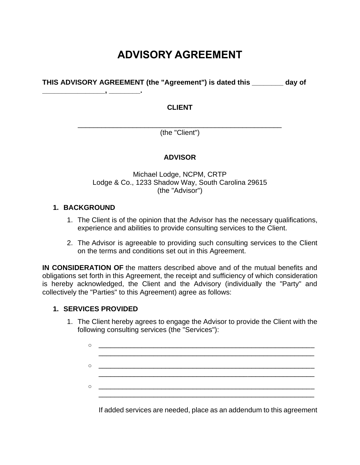## **ADVISORY AGREEMENT**

**THIS ADVISORY AGREEMENT (the "Agreement") is dated this \_\_\_\_\_\_\_\_ day of** 

#### **CLIENT**

\_\_\_\_\_\_\_\_\_\_\_\_\_\_\_\_\_\_\_\_\_\_\_\_\_\_\_\_\_\_\_\_\_\_\_\_\_\_\_\_\_\_\_\_\_\_\_\_\_\_\_\_ (the "Client")

#### **ADVISOR**

Michael Lodge, NCPM, CRTP Lodge & Co., 1233 Shadow Way, South Carolina 29615 (the "Advisor")

#### **1. BACKGROUND**

**\_\_\_\_\_\_\_\_\_\_\_\_\_\_\_\_, \_\_\_\_\_\_\_\_.**

- 1. The Client is of the opinion that the Advisor has the necessary qualifications, experience and abilities to provide consulting services to the Client.
- 2. The Advisor is agreeable to providing such consulting services to the Client on the terms and conditions set out in this Agreement.

**IN CONSIDERATION OF** the matters described above and of the mutual benefits and obligations set forth in this Agreement, the receipt and sufficiency of which consideration is hereby acknowledged, the Client and the Advisory (individually the "Party" and collectively the "Parties" to this Agreement) agree as follows:

#### **1. SERVICES PROVIDED**

1. The Client hereby agrees to engage the Advisor to provide the Client with the following consulting services (the "Services"):

| $\cap$ |                                                 |  |
|--------|-------------------------------------------------|--|
|        |                                                 |  |
|        |                                                 |  |
|        | <u> 1989 - Johann John Stone, mars et al. (</u> |  |

If added services are needed, place as an addendum to this agreement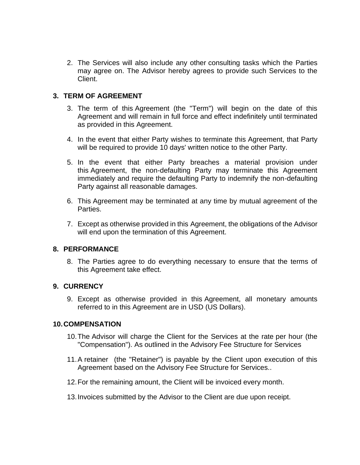2. The Services will also include any other consulting tasks which the Parties may agree on. The Advisor hereby agrees to provide such Services to the Client.

#### **3. TERM OF AGREEMENT**

- 3. The term of this Agreement (the "Term") will begin on the date of this Agreement and will remain in full force and effect indefinitely until terminated as provided in this Agreement.
- 4. In the event that either Party wishes to terminate this Agreement, that Party will be required to provide 10 days' written notice to the other Party.
- 5. In the event that either Party breaches a material provision under this Agreement, the non-defaulting Party may terminate this Agreement immediately and require the defaulting Party to indemnify the non-defaulting Party against all reasonable damages.
- 6. This Agreement may be terminated at any time by mutual agreement of the Parties.
- 7. Except as otherwise provided in this Agreement, the obligations of the Advisor will end upon the termination of this Agreement.

#### **8. PERFORMANCE**

8. The Parties agree to do everything necessary to ensure that the terms of this Agreement take effect.

#### **9. CURRENCY**

9. Except as otherwise provided in this Agreement, all monetary amounts referred to in this Agreement are in USD (US Dollars).

#### **10.COMPENSATION**

- 10.The Advisor will charge the Client for the Services at the rate per hour (the "Compensation"). As outlined in the Advisory Fee Structure for Services
- 11.A retainer (the "Retainer") is payable by the Client upon execution of this Agreement based on the Advisory Fee Structure for Services..
- 12.For the remaining amount, the Client will be invoiced every month.
- 13.Invoices submitted by the Advisor to the Client are due upon receipt.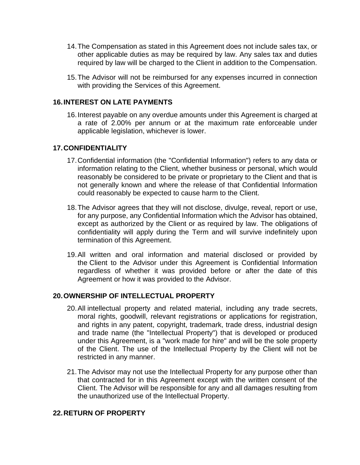- 14.The Compensation as stated in this Agreement does not include sales tax, or other applicable duties as may be required by law. Any sales tax and duties required by law will be charged to the Client in addition to the Compensation.
- 15.The Advisor will not be reimbursed for any expenses incurred in connection with providing the Services of this Agreement.

#### **16.INTEREST ON LATE PAYMENTS**

16.Interest payable on any overdue amounts under this Agreement is charged at a rate of 2.00% per annum or at the maximum rate enforceable under applicable legislation, whichever is lower.

#### **17.CONFIDENTIALITY**

- 17.Confidential information (the "Confidential Information") refers to any data or information relating to the Client, whether business or personal, which would reasonably be considered to be private or proprietary to the Client and that is not generally known and where the release of that Confidential Information could reasonably be expected to cause harm to the Client.
- 18.The Advisor agrees that they will not disclose, divulge, reveal, report or use, for any purpose, any Confidential Information which the Advisor has obtained, except as authorized by the Client or as required by law. The obligations of confidentiality will apply during the Term and will survive indefinitely upon termination of this Agreement.
- 19.All written and oral information and material disclosed or provided by the Client to the Advisor under this Agreement is Confidential Information regardless of whether it was provided before or after the date of this Agreement or how it was provided to the Advisor.

#### **20.OWNERSHIP OF INTELLECTUAL PROPERTY**

- 20.All intellectual property and related material, including any trade secrets, moral rights, goodwill, relevant registrations or applications for registration, and rights in any patent, copyright, trademark, trade dress, industrial design and trade name (the "Intellectual Property") that is developed or produced under this Agreement, is a "work made for hire" and will be the sole property of the Client. The use of the Intellectual Property by the Client will not be restricted in any manner.
- 21.The Advisor may not use the Intellectual Property for any purpose other than that contracted for in this Agreement except with the written consent of the Client. The Advisor will be responsible for any and all damages resulting from the unauthorized use of the Intellectual Property.

#### **22.RETURN OF PROPERTY**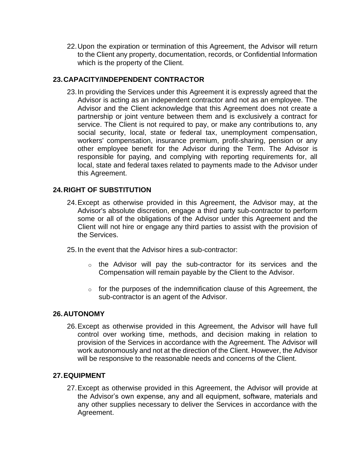22.Upon the expiration or termination of this Agreement, the Advisor will return to the Client any property, documentation, records, or Confidential Information which is the property of the Client.

#### **23.CAPACITY/INDEPENDENT CONTRACTOR**

23.In providing the Services under this Agreement it is expressly agreed that the Advisor is acting as an independent contractor and not as an employee. The Advisor and the Client acknowledge that this Agreement does not create a partnership or joint venture between them and is exclusively a contract for service. The Client is not required to pay, or make any contributions to, any social security, local, state or federal tax, unemployment compensation, workers' compensation, insurance premium, profit-sharing, pension or any other employee benefit for the Advisor during the Term. The Advisor is responsible for paying, and complying with reporting requirements for, all local, state and federal taxes related to payments made to the Advisor under this Agreement.

#### **24.RIGHT OF SUBSTITUTION**

- 24.Except as otherwise provided in this Agreement, the Advisor may, at the Advisor's absolute discretion, engage a third party sub-contractor to perform some or all of the obligations of the Advisor under this Agreement and the Client will not hire or engage any third parties to assist with the provision of the Services.
- 25.In the event that the Advisor hires a sub-contractor:
	- o the Advisor will pay the sub-contractor for its services and the Compensation will remain payable by the Client to the Advisor.
	- $\circ$  for the purposes of the indemnification clause of this Agreement, the sub-contractor is an agent of the Advisor.

#### **26.AUTONOMY**

26.Except as otherwise provided in this Agreement, the Advisor will have full control over working time, methods, and decision making in relation to provision of the Services in accordance with the Agreement. The Advisor will work autonomously and not at the direction of the Client. However, the Advisor will be responsive to the reasonable needs and concerns of the Client.

#### **27.EQUIPMENT**

27.Except as otherwise provided in this Agreement, the Advisor will provide at the Advisor's own expense, any and all equipment, software, materials and any other supplies necessary to deliver the Services in accordance with the Agreement.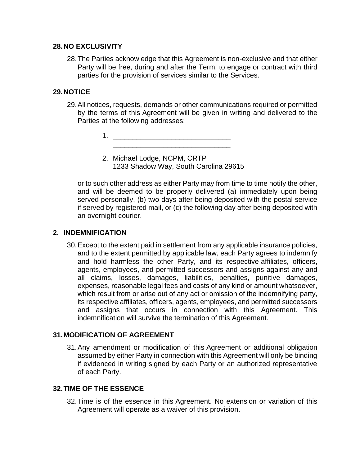#### **28.NO EXCLUSIVITY**

28.The Parties acknowledge that this Agreement is non-exclusive and that either Party will be free, during and after the Term, to engage or contract with third parties for the provision of services similar to the Services.

#### **29.NOTICE**

29.All notices, requests, demands or other communications required or permitted by the terms of this Agreement will be given in writing and delivered to the Parties at the following addresses:

> 1. \_\_\_\_\_\_\_\_\_\_\_\_\_\_\_\_\_\_\_\_\_\_\_\_\_\_\_\_\_\_ \_\_\_\_\_\_\_\_\_\_\_\_\_\_\_\_\_\_\_\_\_\_\_\_\_\_\_\_\_\_

2. Michael Lodge, NCPM, CRTP 1233 Shadow Way, South Carolina 29615

or to such other address as either Party may from time to time notify the other, and will be deemed to be properly delivered (a) immediately upon being served personally, (b) two days after being deposited with the postal service if served by registered mail, or (c) the following day after being deposited with an overnight courier.

#### **2. INDEMNIFICATION**

30.Except to the extent paid in settlement from any applicable insurance policies, and to the extent permitted by applicable law, each Party agrees to indemnify and hold harmless the other Party, and its respective affiliates, officers, agents, employees, and permitted successors and assigns against any and all claims, losses, damages, liabilities, penalties, punitive damages, expenses, reasonable legal fees and costs of any kind or amount whatsoever, which result from or arise out of any act or omission of the indemnifying party, its respective affiliates, officers, agents, employees, and permitted successors and assigns that occurs in connection with this Agreement. This indemnification will survive the termination of this Agreement.

#### **31.MODIFICATION OF AGREEMENT**

31.Any amendment or modification of this Agreement or additional obligation assumed by either Party in connection with this Agreement will only be binding if evidenced in writing signed by each Party or an authorized representative of each Party.

#### **32.TIME OF THE ESSENCE**

32.Time is of the essence in this Agreement. No extension or variation of this Agreement will operate as a waiver of this provision.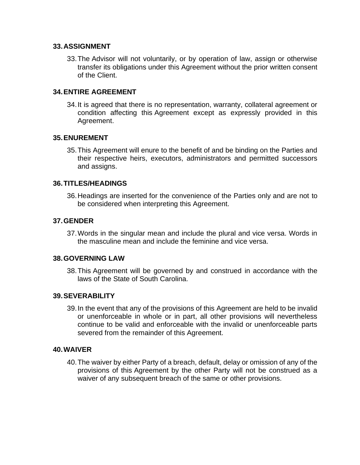#### **33.ASSIGNMENT**

33.The Advisor will not voluntarily, or by operation of law, assign or otherwise transfer its obligations under this Agreement without the prior written consent of the Client.

#### **34.ENTIRE AGREEMENT**

34.It is agreed that there is no representation, warranty, collateral agreement or condition affecting this Agreement except as expressly provided in this Agreement.

#### **35.ENUREMENT**

35.This Agreement will enure to the benefit of and be binding on the Parties and their respective heirs, executors, administrators and permitted successors and assigns.

#### **36.TITLES/HEADINGS**

36.Headings are inserted for the convenience of the Parties only and are not to be considered when interpreting this Agreement.

#### **37.GENDER**

37.Words in the singular mean and include the plural and vice versa. Words in the masculine mean and include the feminine and vice versa.

#### **38.GOVERNING LAW**

38.This Agreement will be governed by and construed in accordance with the laws of the State of South Carolina.

#### **39.SEVERABILITY**

39.In the event that any of the provisions of this Agreement are held to be invalid or unenforceable in whole or in part, all other provisions will nevertheless continue to be valid and enforceable with the invalid or unenforceable parts severed from the remainder of this Agreement.

#### **40.WAIVER**

40.The waiver by either Party of a breach, default, delay or omission of any of the provisions of this Agreement by the other Party will not be construed as a waiver of any subsequent breach of the same or other provisions.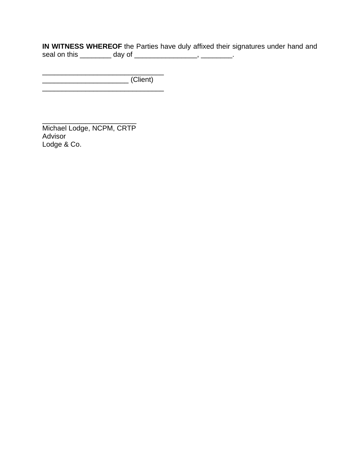**IN WITNESS WHEREOF** the Parties have duly affixed their signatures under hand and seal on this \_\_\_\_\_\_\_\_\_ day of \_\_\_\_\_\_\_\_\_\_\_\_\_\_\_, \_\_\_\_\_\_\_\_.

\_\_\_\_\_\_\_\_\_\_\_\_\_\_\_\_\_\_\_\_\_\_\_\_\_\_\_\_\_\_\_ \_\_\_\_\_\_\_\_\_\_\_\_\_\_\_\_\_\_\_\_\_\_ (Client) \_\_\_\_\_\_\_\_\_\_\_\_\_\_\_\_\_\_\_\_\_\_\_\_\_\_\_\_\_\_\_

\_\_\_\_\_\_\_\_\_\_\_\_\_\_\_\_\_\_\_\_\_\_\_\_ Michael Lodge, NCPM, CRTP Advisor Lodge & Co.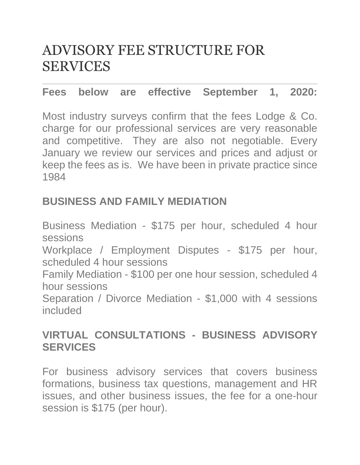# ADVISORY FEE STRUCTURE FOR SERVICES

### **Fees below are effective September 1, 2020:**

Most industry surveys confirm that the fees Lodge & Co. charge for our professional services are very reasonable and competitive. They are also not negotiable. Every January we review our services and prices and adjust or keep the fees as is. We have been in private practice since 1984

### **BUSINESS AND FAMILY MEDIATION**

Business Mediation - \$175 per hour, scheduled 4 hour sessions Workplace / Employment Disputes - \$175 per hour, scheduled 4 hour sessions Family Mediation - \$100 per one hour session, scheduled 4 hour sessions Separation / Divorce Mediation - \$1,000 with 4 sessions included

### **VIRTUAL CONSULTATIONS - BUSINESS ADVISORY SERVICES**

For business advisory services that covers business formations, business tax questions, management and HR issues, and other business issues, the fee for a one-hour session is \$175 (per hour).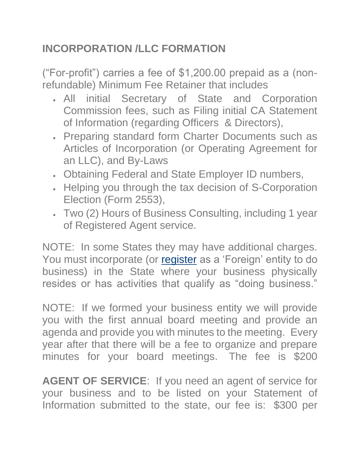# **INCORPORATION /LLC FORMATION**

("For-profit") carries a fee of \$1,200.00 prepaid as a (nonrefundable) Minimum Fee Retainer that includes

- All initial Secretary of State and Corporation Commission fees, such as Filing initial CA Statement of Information (regarding Officers & Directors),
- Preparing standard form Charter Documents such as Articles of Incorporation (or Operating Agreement for an LLC), and By-Laws
- Obtaining Federal and State Employer ID numbers,
- Helping you through the tax decision of S-Corporation Election (Form 2553),
- Two (2) Hours of Business Consulting, including 1 year of Registered Agent service.

NOTE: In some States they may have additional charges. You must incorporate (or [register](http://olbts.com/Fee-Schedule/) as a 'Foreign' entity to do business) in the State where your business physically resides or has activities that qualify as "doing business."

NOTE: If we formed your business entity we will provide you with the first annual board meeting and provide an agenda and provide you with minutes to the meeting. Every year after that there will be a fee to organize and prepare minutes for your board meetings. The fee is \$200

**AGENT OF SERVICE**: If you need an agent of service for your business and to be listed on your Statement of Information submitted to the state, our fee is: \$300 per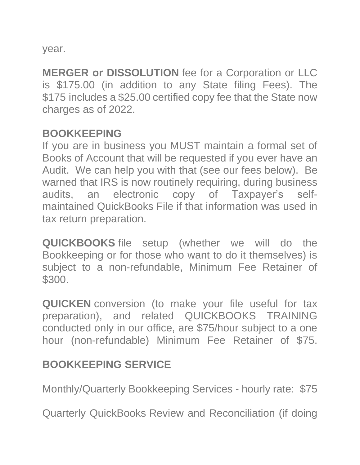year.

**MERGER or DISSOLUTION** fee for a Corporation or LLC is \$175.00 (in addition to any State filing Fees). The \$175 includes a \$25.00 certified copy fee that the State now charges as of 2022.

### **BOOKKEEPING**

If you are in business you MUST maintain a formal set of Books of Account that will be requested if you ever have an Audit. We can help you with that (see our fees below). Be warned that IRS is now routinely requiring, during business audits, an electronic copy of Taxpayer's selfmaintained QuickBooks File if that information was used in tax return preparation.

**QUICKBOOKS** file setup (whether we will do the Bookkeeping or for those who want to do it themselves) is subject to a non-refundable, Minimum Fee Retainer of \$300.

**QUICKEN** conversion (to make your file useful for tax preparation), and related QUICKBOOKS TRAINING conducted only in our office, are \$75/hour subject to a one hour (non-refundable) Minimum Fee Retainer of \$75.

# **BOOKKEEPING SERVICE**

Monthly/Quarterly Bookkeeping Services - hourly rate: \$75

Quarterly QuickBooks Review and Reconciliation (if doing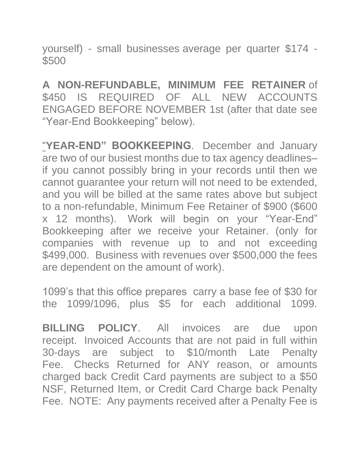yourself) - small businesses average per quarter \$174 - \$500

**A NON-REFUNDABLE, MINIMUM FEE RETAINER** of \$450 IS REQUIRED OF ALL NEW ACCOUNTS ENGAGED BEFORE NOVEMBER 1st (after that date see "Year-End Bookkeeping" below).

"**YEAR-END" BOOKKEEPING**. December and January are two of our busiest months due to tax agency deadlines– if you cannot possibly bring in your records until then we cannot guarantee your return will not need to be extended, and you will be billed at the same rates above but subject to a non-refundable, Minimum Fee Retainer of \$900 (\$600 x 12 months). Work will begin on your "Year-End" Bookkeeping after we receive your Retainer. (only for companies with revenue up to and not exceeding \$499,000. Business with revenues over \$500,000 the fees are dependent on the amount of work).

1099's that this office prepares carry a base fee of \$30 for the 1099/1096, plus \$5 for each additional 1099.

**BILLING POLICY**. All invoices are due upon receipt. Invoiced Accounts that are not paid in full within 30-days are subject to \$10/month Late Penalty Fee. Checks Returned for ANY reason, or amounts charged back Credit Card payments are subject to a \$50 NSF, Returned Item, or Credit Card Charge back Penalty Fee. NOTE: Any payments received after a Penalty Fee is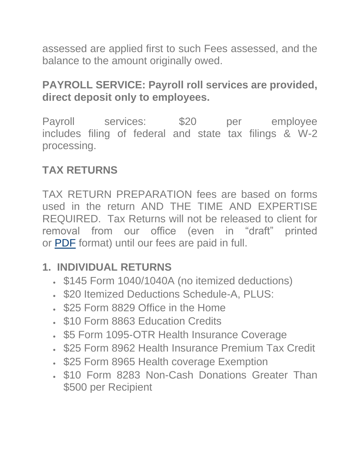assessed are applied first to such Fees assessed, and the balance to the amount originally owed.

## **PAYROLL SERVICE: Payroll roll services are provided, direct deposit only to employees.**

Payroll services: \$20 per employee includes filing of federal and state tax filings & W-2 processing.

# **TAX RETURNS**

TAX RETURN PREPARATION fees are based on forms used in the return AND THE TIME AND EXPERTISE REQUIRED. Tax Returns will not be released to client for removal from our office (even in "draft" printed or [PDF](http://olbts.com/Fee-Schedule/) format) until our fees are paid in full.

### **1. INDIVIDUAL RETURNS**

- \$145 Form 1040/1040A (no itemized deductions)
- \$20 Itemized Deductions Schedule-A, PLUS:
- \$25 Form 8829 Office in the Home
- \$10 Form 8863 Education Credits
- \$5 Form 1095-OTR Health Insurance Coverage
- \$25 Form 8962 Health Insurance Premium Tax Credit
- \$25 Form 8965 Health coverage Exemption
- \$10 Form 8283 Non-Cash Donations Greater Than \$500 per Recipient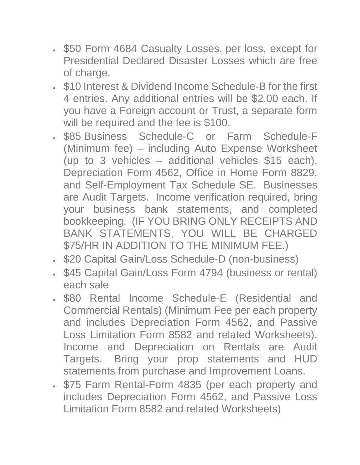- \$50 Form 4684 Casualty Losses, per loss, except for Presidential Declared Disaster Losses which are free of charge.
- \$10 Interest & Dividend Income Schedule-B for the first 4 entries. Any additional entries will be \$2.00 each. If you have a Foreign account or Trust, a separate form will be required and the fee is \$100.
- \$85 Business Schedule-C or Farm Schedule-F (Minimum fee) – including Auto Expense Worksheet (up to 3 vehicles – additional vehicles \$15 each), Depreciation Form 4562, Office in Home Form 8829, and Self-Employment Tax Schedule SE. Businesses are Audit Targets. Income verification required, bring your business bank statements, and completed bookkeeping. (IF YOU BRING ONLY RECEIPTS AND BANK STATEMENTS, YOU WILL BE CHARGED \$75/HR IN ADDITION TO THE MINIMUM FEE.)
- \$20 Capital Gain/Loss Schedule-D (non-business)
- \$45 Capital Gain/Loss Form 4794 (business or rental) each sale
- \$80 Rental Income Schedule-E (Residential and Commercial Rentals) (Minimum Fee per each property and includes Depreciation Form 4562, and Passive Loss Limitation Form 8582 and related Worksheets). Income and Depreciation on Rentals are Audit Targets. Bring your prop statements and HUD statements from purchase and Improvement Loans.
- \$75 Farm Rental-Form 4835 (per each property and includes Depreciation Form 4562, and Passive Loss Limitation Form 8582 and related Worksheets)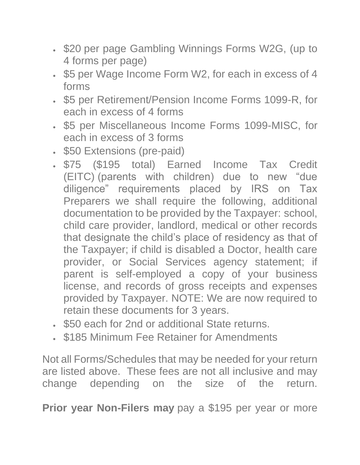- \$20 per page Gambling Winnings Forms W2G, (up to 4 forms per page)
- \$5 per Wage Income Form W2, for each in excess of 4 forms
- \$5 per Retirement/Pension Income Forms 1099-R, for each in excess of 4 forms
- \$5 per Miscellaneous Income Forms 1099-MISC, for each in excess of 3 forms
- \$50 Extensions (pre-paid)
- \$75 (\$195 total) Earned Income Tax Credit (EITC) (parents with children) due to new "due diligence" requirements placed by IRS on Tax Preparers we shall require the following, additional documentation to be provided by the Taxpayer: school, child care provider, landlord, medical or other records that designate the child's place of residency as that of the Taxpayer; if child is disabled a Doctor, health care provider, or Social Services agency statement; if parent is self-employed a copy of your business license, and records of gross receipts and expenses provided by Taxpayer. NOTE: We are now required to retain these documents for 3 years.
- \$50 each for 2nd or additional State returns.
- \$185 Minimum Fee Retainer for Amendments

Not all Forms/Schedules that may be needed for your return are listed above. These fees are not all inclusive and may change depending on the size of the return.

**Prior year Non-Filers may** pay a \$195 per year or more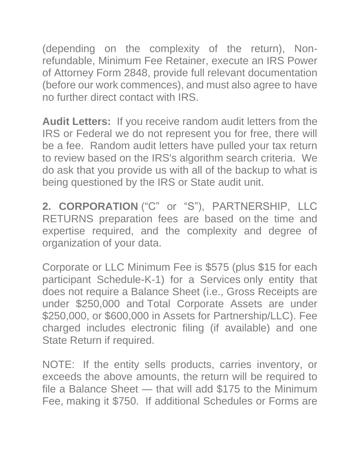(depending on the complexity of the return), Nonrefundable, Minimum Fee Retainer, execute an IRS Power of Attorney Form 2848, provide full relevant documentation (before our work commences), and must also agree to have no further direct contact with IRS.

**Audit Letters:** If you receive random audit letters from the IRS or Federal we do not represent you for free, there will be a fee. Random audit letters have pulled your tax return to review based on the IRS's algorithm search criteria. We do ask that you provide us with all of the backup to what is being questioned by the IRS or State audit unit.

**2. CORPORATION** ("C" or "S"), PARTNERSHIP, LLC RETURNS preparation fees are based on the time and expertise required, and the complexity and degree of organization of your data.

Corporate or LLC Minimum Fee is \$575 (plus \$15 for each participant Schedule-K-1) for a Services only entity that does not require a Balance Sheet (i.e., Gross Receipts are under \$250,000 and Total Corporate Assets are under \$250,000, or \$600,000 in Assets for Partnership/LLC). Fee charged includes electronic filing (if available) and one State Return if required.

NOTE: If the entity sells products, carries inventory, or exceeds the above amounts, the return will be required to file a Balance Sheet — that will add \$175 to the Minimum Fee, making it \$750. If additional Schedules or Forms are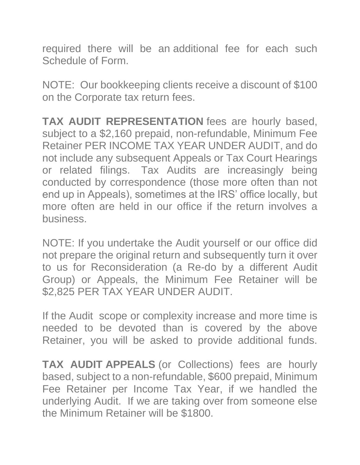required there will be an additional fee for each such Schedule of Form.

NOTE: Our bookkeeping clients receive a discount of \$100 on the Corporate tax return fees.

**TAX AUDIT REPRESENTATION** fees are hourly based, subject to a \$2,160 prepaid, non-refundable, Minimum Fee Retainer PER INCOME TAX YEAR UNDER AUDIT, and do not include any subsequent Appeals or Tax Court Hearings or related filings. Tax Audits are increasingly being conducted by correspondence (those more often than not end up in Appeals), sometimes at the IRS' office locally, but more often are held in our office if the return involves a business.

NOTE: If you undertake the Audit yourself or our office did not prepare the original return and subsequently turn it over to us for Reconsideration (a Re-do by a different Audit Group) or Appeals, the Minimum Fee Retainer will be \$2,825 PER TAX YEAR UNDER AUDIT.

If the Audit scope or complexity increase and more time is needed to be devoted than is covered by the above Retainer, you will be asked to provide additional funds.

**TAX AUDIT APPEALS** (or Collections) fees are hourly based, subject to a non-refundable, \$600 prepaid, Minimum Fee Retainer per Income Tax Year, if we handled the underlying Audit. If we are taking over from someone else the Minimum Retainer will be \$1800.